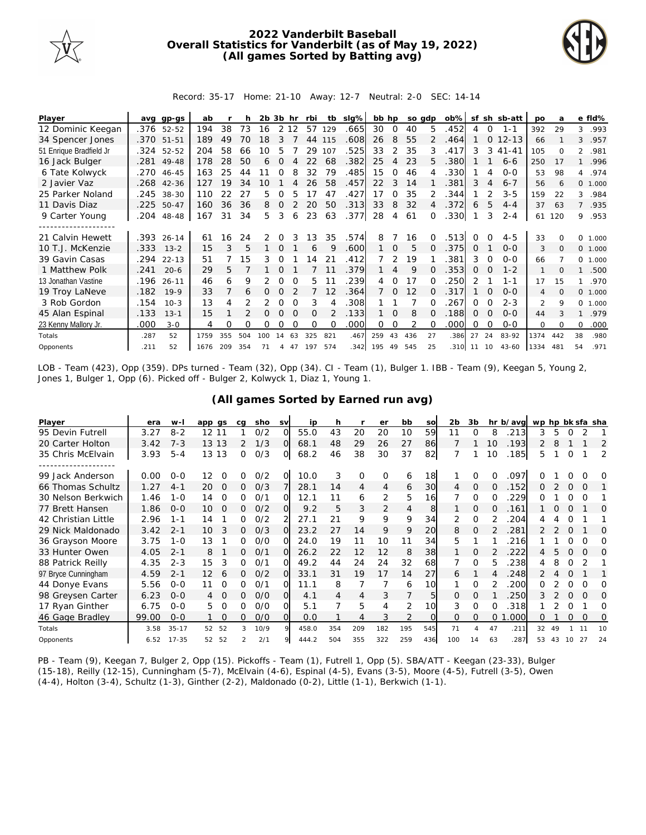

## **2022 Vanderbilt Baseball Overall Statistics for Vanderbilt (as of May 19, 2022) (All games Sorted by Batting avg)**



Record: 35-17 Home: 21-10 Away: 12-7 Neutral: 2-0 SEC: 14-14

| Player                  | avg  | gp-gs      | ab   |     | h   | 2b. | 3b             | hr       | rbi      | tb       | $slq\%$ | bb hp |                | so gdp |              | $ob\%$  | sf       |          | sh sb-att | <b>DO</b>      | a        |               | e fld%   |
|-------------------------|------|------------|------|-----|-----|-----|----------------|----------|----------|----------|---------|-------|----------------|--------|--------------|---------|----------|----------|-----------|----------------|----------|---------------|----------|
| 12 Dominic Keegan       |      | .376 52-52 | 194  | 38  | 73  | 16  |                | 2 1 2    | 57       | 129      | .665    | 30    | 0              | 40     | 5            | .452    | 4        | 0        | $1 - 1$   | 392            | 29       | 3             | .993     |
| 34 Spencer Jones        |      | .370 51-51 | 189  | 49  | 70  | 18  |                |          | 44       | 115      | .608    | 26    | 8              | 55     |              | .464    |          | $\Omega$ | $12 - 13$ | 66             |          | 3             | .957     |
| 51 Enrique Bradfield Jr | .324 | 52-52      | 204  | 58  | 66  | 10  | 5              |          | 29       | 107      | .525    | 33    | 2              | 35     | 3            | 417     | 3        | 3        | $41 - 41$ | 105            | $\Omega$ | $\mathcal{L}$ | .981     |
| 16 Jack Bulger          | .281 | 49-48      | 178  | 28  | 50  | 6   | $\Omega$       |          | 22       | 68       | .382    | 25    | $\overline{4}$ | 23     | 5.           | .380    |          |          | $6 - 6$   | 250            | 17       |               | .996     |
| 6 Tate Kolwyck          | .270 | 46-45      | 163  | 25  | 44  | 11  | 0              |          | 32       | 79       | .485    | 15    | Ω              | 46     |              | .330    |          | 4        | $O-O$     | 53             | 98       |               | 4 .974   |
| 2 Javier Vaz            | .268 | $42 - 36$  | 127  | 19  | 34  | 10  |                |          | 26       | 58       | .457    | 22    | 3              | 14     |              | 381     | 3        | 4        | $6 - 7$   | 56             | 6        | $\circ$       | 1.000    |
| 25 Parker Noland        |      | .245 38-30 | 110  | 22  | 27  | 5.  | 0              | 5        | 17       | 47       | .427    | 17    | $\Omega$       | 35     |              | .344    |          |          | $3 - 5$   | 159            | 22       | 3             | .984     |
| 11 Davis Diaz           |      | .225 50-47 | 160  | 36  | 36  | 8   | $\Omega$       |          | 20       | 50       | .313    | 33    | 8              | 32     |              | .372    | 6        | 5        | $4 - 4$   | 37             | 63       | 7             | .935     |
| 9 Carter Young          | .204 | 48-48      | 167  | 31  | 34  | 5.  | 3              | 6        | 23       | 63       | .377    | 28    | 4              | 61     | $\Omega$     | .330    |          | 3        | $2 - 4$   | 61             | 120      | 9             | .953     |
|                         |      |            |      |     |     |     |                |          |          |          |         |       |                |        |              |         |          |          |           |                |          |               |          |
| 21 Calvin Hewett        | .393 | $26 - 14$  | 61   | 16  | 24  | 2   | $\Omega$       |          | 13       | 35       | .574    | 8     |                | 16     |              | 513     |          |          | $4 - 5$   | 33             |          | <sup>o</sup>  | 1.000    |
| 10 T.J. McKenzie        | .333 | $13 - 2$   | 15   | 3   | 5   |     | $\Omega$       |          | 6        | Q        | .600    |       | $\Omega$       | 5      |              | .375    | $\Omega$ |          | $0 - 0$   | 3              | $\Omega$ |               | 0 1.000  |
| 39 Gavin Casas          | .294 | $22 - 13$  | 51   |     | 15  | 3   | Ω              |          | 14       | 21       | .412    |       |                | 19     |              | 381     | 3        | 0        | $0 - 0$   | 66             |          |               | 0, 1,000 |
| 1 Matthew Polk          | .241 | $20 - 6$   | 29   | 5   |     |     |                |          |          |          | .379    |       | 4              | 9      |              | .353    | 0        |          | $1 - 2$   |                | $\Omega$ |               | .500     |
| 13 Jonathan Vastine     | .196 | $26 - 11$  | 46   | 6   | 9   |     | O              | $\Omega$ | 5        |          | 239     | 4     | $\Omega$       | 17     |              | .250    | 2        |          | 1-1       | 17             | 15       |               | .970     |
| 19 Troy LaNeve          | .182 | $19-9$     | 33   |     | 6   | 0   | $\Omega$       |          |          | 12       | .364    |       | $\Omega$       | 12     |              | 317     |          | $\Omega$ | $0 - 0$   | 4              | $\Omega$ | $\Omega$      | 1.000    |
| 3 Rob Gordon            | .154 | $10-3$     | 13   | 4   |     |     | O              | $\Omega$ | 3        |          | .308    |       |                |        |              | 267     | $\Omega$ | O        | $2 - 3$   | $\mathfrak{D}$ | 9        | 0             | 1.000    |
| 45 Alan Espinal         | .133 | $13 - 1$   | 15   |     |     | 0   | $\Omega$       | $\Omega$ | $\Omega$ |          | .133    |       | $\Omega$       | 8      | <sup>n</sup> | .188    | $\Omega$ | $\Omega$ | $O-O$     | 44             |          |               | .979     |
| 23 Kenny Mallory Jr.    | .000 | $3 - 0$    | 4    | O   | Ω   | 0   | O              | ∩        | $\Omega$ | $\Omega$ | .000    | 0     | $\Omega$       |        |              | .000    | Ω        | $\Omega$ | $0 - 0$   | $\Omega$       | $\Omega$ | 0             | .000     |
| Totals                  | .287 | 52         | 1759 | 355 | 504 | 100 | 14             | 63       | 325      | 821      | .467    | 259   | 43             | 436    | 27           | .386    | 27       | 24       | 83-92     | 1374           | 442      | 38            | .980     |
| Opponents               | .211 | 52         | 1676 | 209 | 354 | 71  | $\overline{4}$ | 47       | 197      | 574      | 342     | 195   | 49             | 545    | 25           | .310 11 |          | 10       | 43-60     | 1334           | 481      | 54            | .971     |

LOB - Team (423), Opp (359). DPs turned - Team (32), Opp (34). CI - Team (1), Bulger 1. IBB - Team (9), Keegan 5, Young 2, Jones 1, Bulger 1, Opp (6). Picked off - Bulger 2, Kolwyck 1, Diaz 1, Young 1.

| Player              | era   | $W -$     | app qs         | cq            | sho  | <b>SV</b> | ip    | h   |                | er       | bb  | SO       | 2 <sub>b</sub> | 3b       |    | hr b/avg | wp hp bk sfa sha |    |          |          |    |
|---------------------|-------|-----------|----------------|---------------|------|-----------|-------|-----|----------------|----------|-----|----------|----------------|----------|----|----------|------------------|----|----------|----------|----|
| 95 Devin Futrell    | 3.27  | $8 - 2$   | 12 11          |               | O/2  | $\Omega$  | 55.0  | 43  | 20             | 20       | 10  | 59       | 11             | O        | 8  | 213      | 3                | 5  | 0        | 2        |    |
| 20 Carter Holton    | 3.42  | $7 - 3$   | 13 13          | $\mathcal{P}$ | 1/3  | $\Omega$  | 68.1  | 48  | 29             | 26       | 27  | 86       |                |          | 10 | .193     |                  | 8  |          |          | 2  |
| 35 Chris McElvain   | 3.93  | $5 - 4$   | 13 13          | 0             | O/3  | O.        | 68.2  | 46  | 38             | 30       | 37  | 82       |                |          | 10 | .185     | 5.               |    | $\Omega$ |          | 2  |
|                     |       |           |                |               |      |           |       |     |                |          |     |          |                |          |    |          |                  |    |          |          |    |
| 99 Jack Anderson    | 0.00  | $O - O$   | 12<br>0        | 0             | O/2  | $\Omega$  | 10.0  | 3   | $\mathbf 0$    | $\Omega$ | 6   | 18       |                | 0        | Ω  | .097     |                  |    |          |          | O  |
| 66 Thomas Schultz   | 1.27  | $4 - 1$   | 20<br>$\Omega$ | 0             | O/3  |           | 28.1  | 14  | $\overline{4}$ | 4        | 6   | 30       | 4              | 0        | 0  | .152     | 0                |    | 0        | $\Omega$ |    |
| 30 Nelson Berkwich  | 1.46  | $1 - 0$   | $\Omega$<br>14 | Ω             | 0/1  | $\Omega$  | 12.1  | 11  | 6              | 2        | 5   | 16       |                | $\Omega$ |    | 229      | O                |    | $\Omega$ | $\Omega$ |    |
| 77 Brett Hansen     | 1.86  | $0 - 0$   | 10<br>$\Omega$ | 0             | O/2  | O.        | 9.2   | 5   | 3              | 2        | 4   | 8        |                | 0        | 0  | .161     |                  | O  | O        |          | 0  |
| 42 Christian Little | 2.96  | $1 - 1$   | 14             | 0             | O/2  |           | 27.1  | 21  | 9              | 9        | 9   | 34       | 2              | $\Omega$ |    | 204      | 4                |    |          |          |    |
| 29 Nick Maldonado   | 3.42  | $2 - 1$   | 3<br>10        | 0             | O/3  | $\Omega$  | 23.2  | 27  | 14             | 9        | 9   | 20       | 8              | $\Omega$ |    | 281      |                  |    | O        |          | 0  |
| 36 Grayson Moore    | 3.75  | $1 - 0$   | 13             | 0             | O/O  | ∩         | 24.0  | 19  | 11             | 10       | 11  | 34       | 5              |          |    | 216      |                  |    | Ω        | O        | Ω  |
| 33 Hunter Owen      | 4.05  | $2 - 1$   | 8              | Ω             | 0/1  | $\Omega$  | 26.2  | 22  | 12             | 12       | 8   | 38       |                | $\Omega$ |    | 222      | 4                | 5  | $\Omega$ | $\Omega$ | O  |
| 88 Patrick Reilly   | 4.35  | $2 - 3$   | 15<br>3        | 0             | O/1  | ∩         | 49.2  | 44  | 24             | 24       | 32  | 68       |                | $\Omega$ | 5. | 238      | 4                | 8  | 0        |          |    |
| 97 Bryce Cunningham | 4.59  | $2 - 1$   | 12<br>6        | 0             | 0/2  | $\Omega$  | 33.1  | 31  | 19             | 17       | 14  | 27       | 6              |          |    | 248      |                  |    | $\Omega$ |          |    |
| 44 Donye Evans      | 5.56  | $O - O$   | 11<br>0        | 0             | 0/1  | Ω         | 11.1  | 8   |                |          | 6   | 10       |                | $\Omega$ |    | 200      | 0                |    | 0        | O        | Ω  |
| 98 Greysen Carter   | 6.23  | $O - O$   | 4              | 0             | O/O  | ΩI        | 4.1   | 4   | 4              | 3        |     | 5        | 0              | $\Omega$ |    | 250      | 3                |    | $\Omega$ | $\Omega$ | 0  |
| 17 Ryan Ginther     | 6.75  | $O - O$   | 5.<br>0        | Ω             | O/O  | ΩI        | 5.1   |     | 5              | 4        | 2   | 10       | 3              | $\Omega$ | 0  | 318      |                  |    | O        |          | Ω  |
| 46 Gage Bradley     | 99.00 | $0 - 0$   | $\Omega$       | 0             | O/O  | $\Omega$  | 0.0   |     | 4              | 3        | 2   | $\Omega$ | $\Omega$       | $\Omega$ | 0  | .000     | Ω                |    | $\Omega$ | $\Omega$ | 0  |
| Totals              | 3.58  | $35 - 17$ | 52 52          | 3             | 10/9 | $\circ$   | 458.0 | 354 | 209            | 182      | 195 | 545      | 71             | 4        | 47 | .211     | 32               | 49 |          |          | 10 |
| Opponents           | 6.52  | $17 - 35$ | 52<br>52       |               | 2/1  |           | 444.2 | 504 | 355            | 322      | 259 | 436      | 100            | 14       | 63 | 287      | 53               | 43 | 10       | 27       | 24 |

**(All games Sorted by Earned run avg)**

PB - Team (9), Keegan 7, Bulger 2, Opp (15). Pickoffs - Team (1), Futrell 1, Opp (5). SBA/ATT - Keegan (23-33), Bulger (15-18), Reilly (12-15), Cunningham (5-7), McElvain (4-6), Espinal (4-5), Evans (3-5), Moore (4-5), Futrell (3-5), Owen (4-4), Holton (3-4), Schultz (1-3), Ginther (2-2), Maldonado (0-2), Little (1-1), Berkwich (1-1).